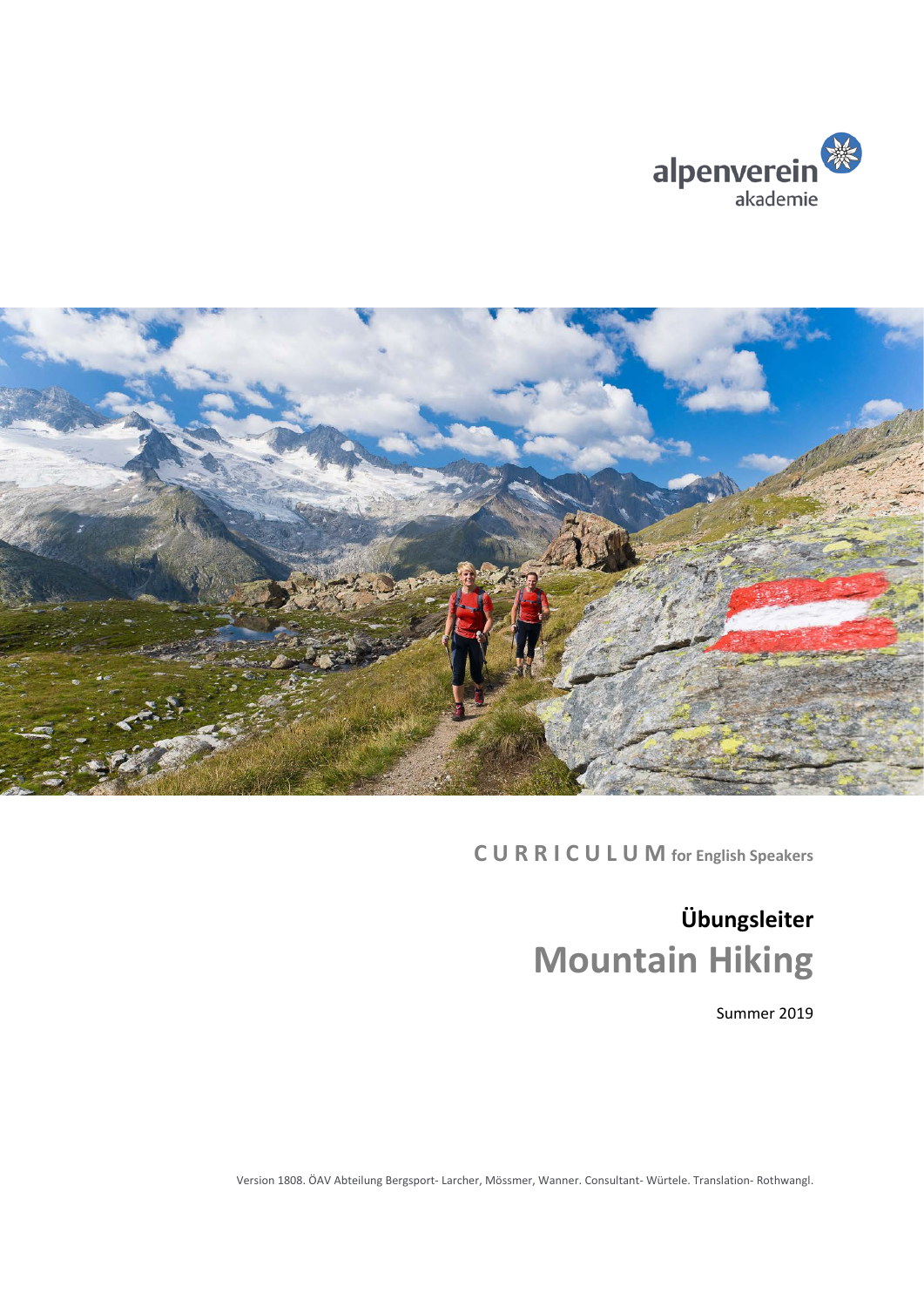



**C U R R I C U L U M for English Speakers**

# **Übungsleiter Mountain Hiking**

Summer 2019

Version 1808. ÖAV Abteilung Bergsport- Larcher, Mössmer, Wanner. Consultant- Würtele. Translation- Rothwangl.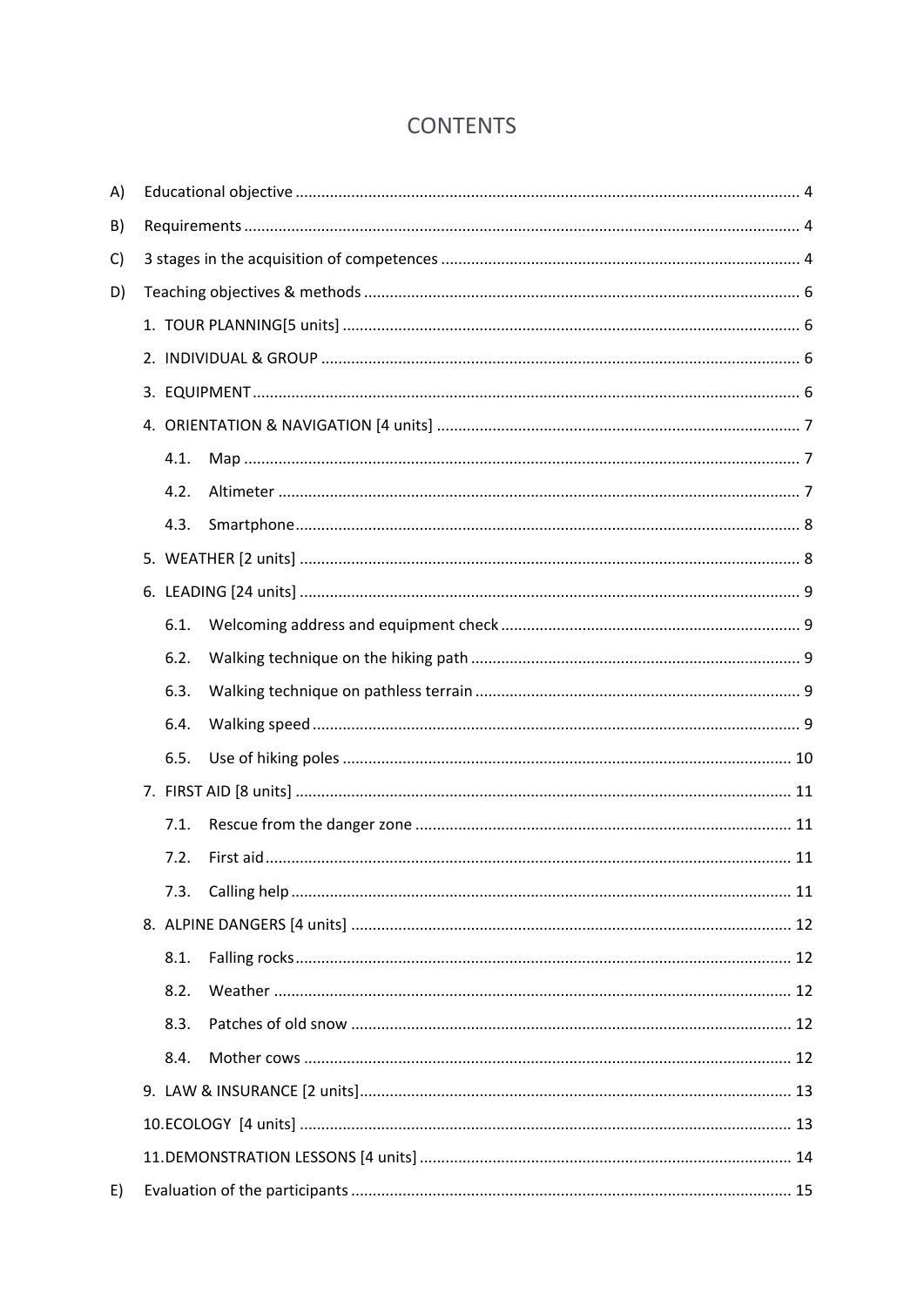# **CONTENTS**

| A) |  |      |  |  |  |  |
|----|--|------|--|--|--|--|
| B) |  |      |  |  |  |  |
| C) |  |      |  |  |  |  |
| D) |  |      |  |  |  |  |
|    |  |      |  |  |  |  |
|    |  |      |  |  |  |  |
|    |  |      |  |  |  |  |
|    |  |      |  |  |  |  |
|    |  | 4.1. |  |  |  |  |
|    |  | 4.2. |  |  |  |  |
|    |  | 4.3. |  |  |  |  |
|    |  |      |  |  |  |  |
|    |  |      |  |  |  |  |
|    |  | 6.1. |  |  |  |  |
|    |  | 6.2. |  |  |  |  |
|    |  | 6.3. |  |  |  |  |
|    |  | 6.4. |  |  |  |  |
|    |  | 6.5. |  |  |  |  |
|    |  |      |  |  |  |  |
|    |  | 7.1. |  |  |  |  |
|    |  | 7.2. |  |  |  |  |
|    |  | 7.3. |  |  |  |  |
|    |  |      |  |  |  |  |
|    |  | 8.1. |  |  |  |  |
|    |  | 8.2. |  |  |  |  |
|    |  | 8.3. |  |  |  |  |
|    |  | 8.4. |  |  |  |  |
|    |  |      |  |  |  |  |
|    |  |      |  |  |  |  |
|    |  |      |  |  |  |  |
| E) |  |      |  |  |  |  |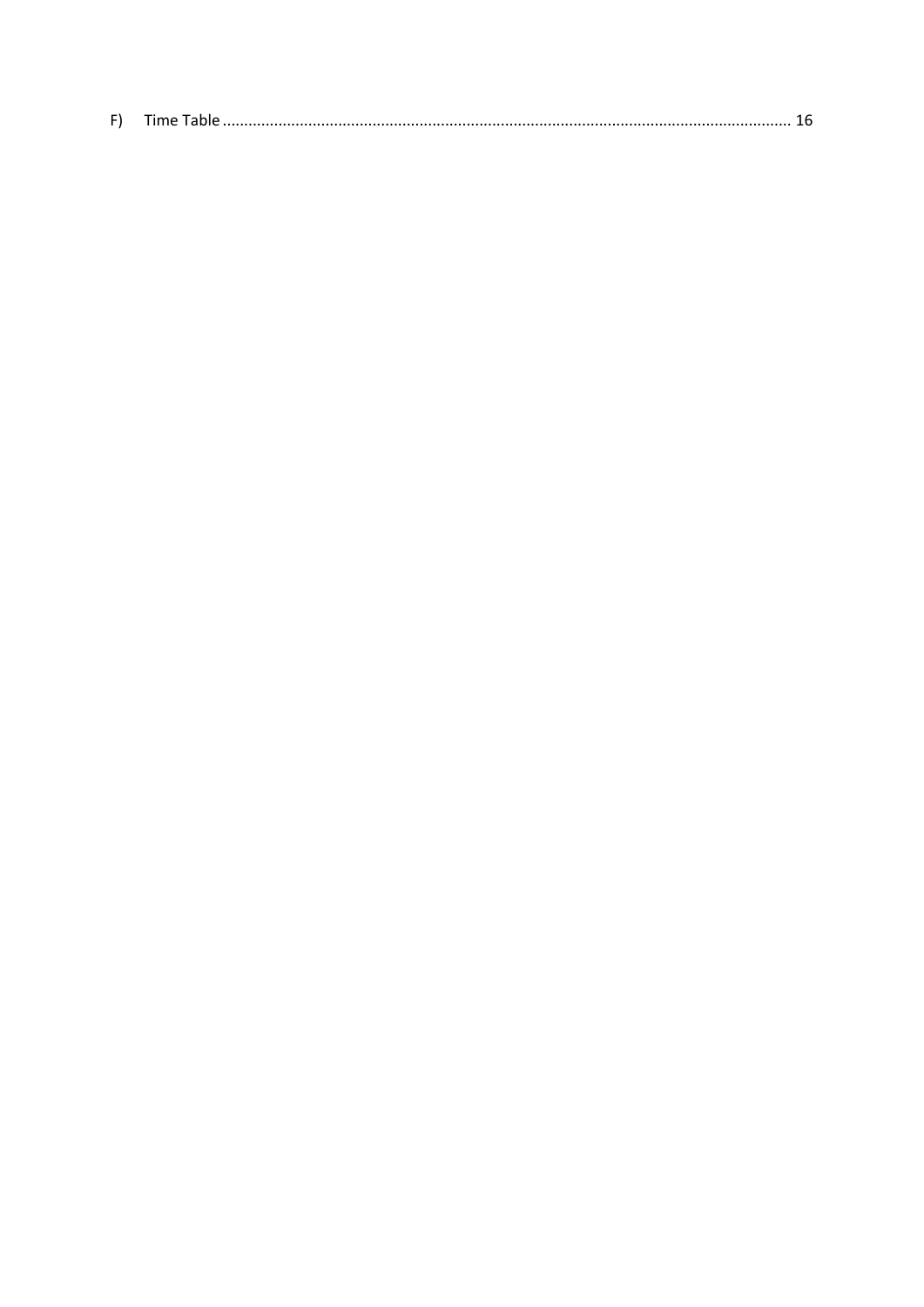| - 1 |  |
|-----|--|
|     |  |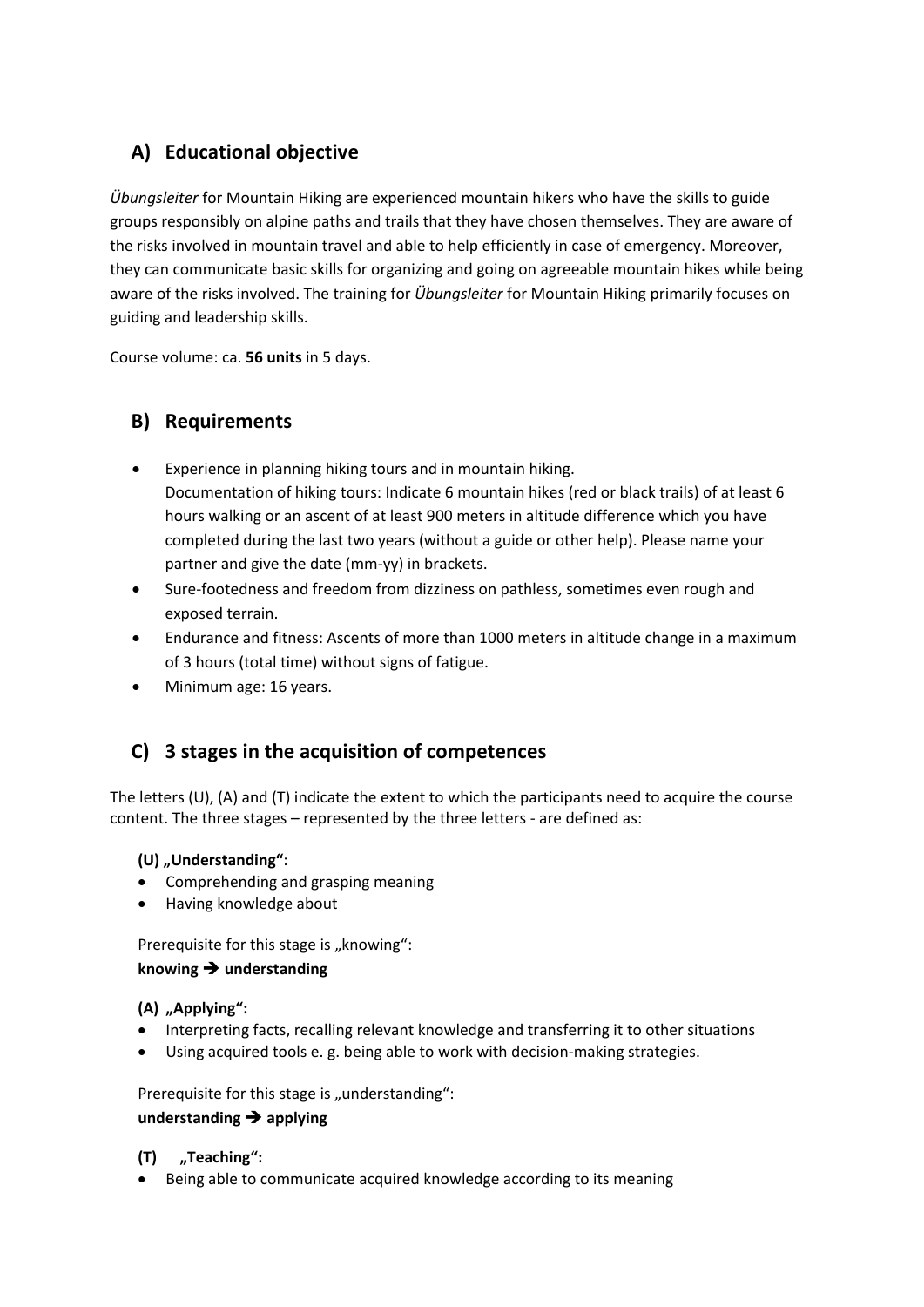# <span id="page-3-0"></span>**A) Educational objective**

*Übungsleiter* for Mountain Hiking are experienced mountain hikers who have the skills to guide groups responsibly on alpine paths and trails that they have chosen themselves. They are aware of the risks involved in mountain travel and able to help efficiently in case of emergency. Moreover, they can communicate basic skills for organizing and going on agreeable mountain hikes while being aware of the risks involved. The training for *Übungsleiter* for Mountain Hiking primarily focuses on guiding and leadership skills.

Course volume: ca. **56 units** in 5 days.

# <span id="page-3-1"></span>**B) Requirements**

- Experience in planning hiking tours and in mountain hiking. Documentation of hiking tours: Indicate 6 mountain hikes (red or black trails) of at least 6 hours walking or an ascent of at least 900 meters in altitude difference which you have completed during the last two years (without a guide or other help). Please name your partner and give the date (mm-yy) in brackets.
- Sure-footedness and freedom from dizziness on pathless, sometimes even rough and exposed terrain.
- Endurance and fitness: Ascents of more than 1000 meters in altitude change in a maximum of 3 hours (total time) without signs of fatigue.
- Minimum age: 16 years.

# <span id="page-3-2"></span>**C) 3 stages in the acquisition of competences**

The letters (U), (A) and (T) indicate the extent to which the participants need to acquire the course content. The three stages – represented by the three letters - are defined as:

#### **(U) "Understanding"**:

- Comprehending and grasping meaning
- Having knowledge about

Prerequisite for this stage is "knowing": **knowing understanding**

#### **(A) "Applying":**

- Interpreting facts, recalling relevant knowledge and transferring it to other situations
- Using acquired tools e. g. being able to work with decision-making strategies.

Prerequisite for this stage is "understanding":

#### **understanding applying**

#### **(T) "Teaching":**

• Being able to communicate acquired knowledge according to its meaning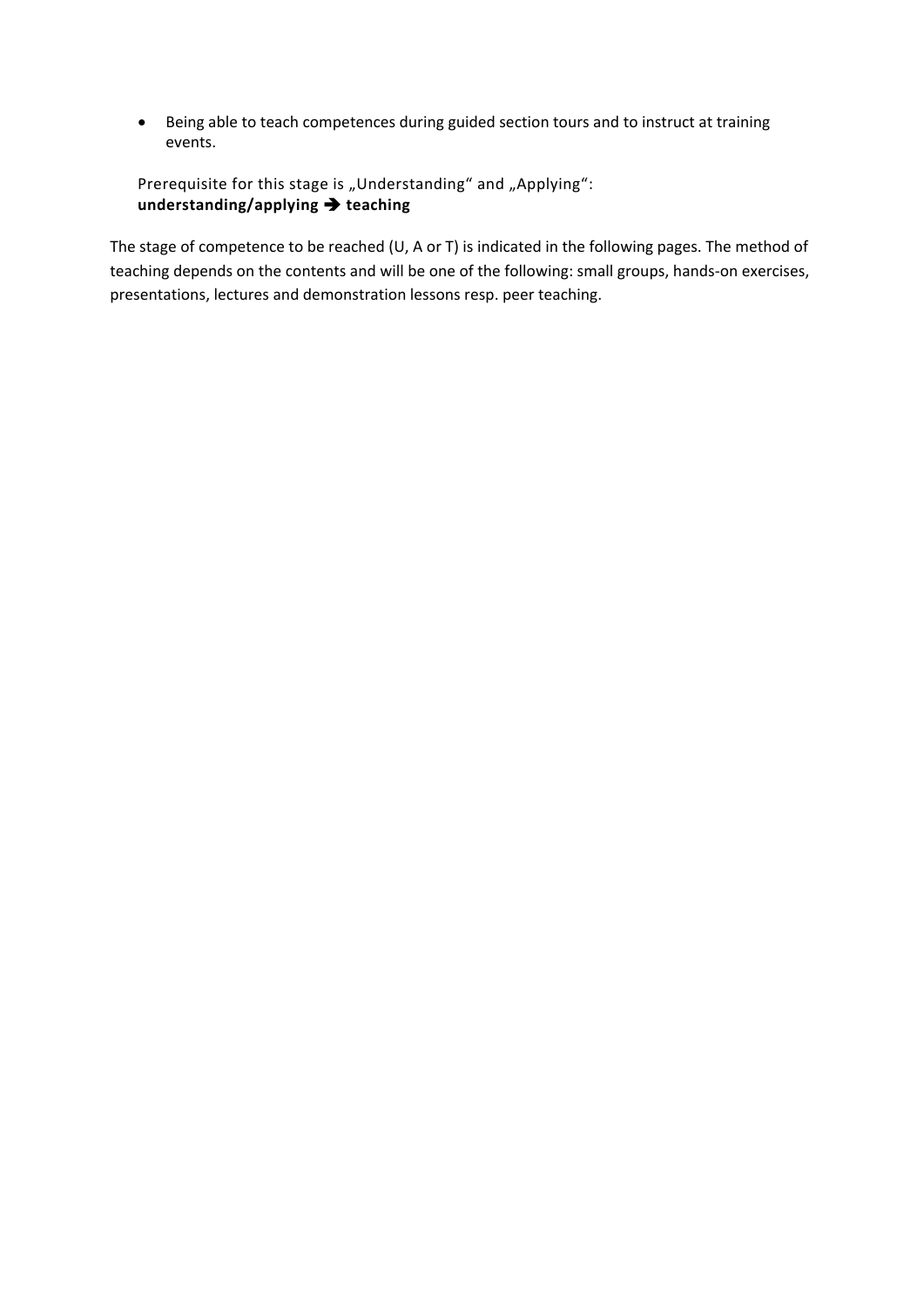• Being able to teach competences during guided section tours and to instruct at training events.

Prerequisite for this stage is "Understanding" and "Applying": **understanding/applying teaching**

The stage of competence to be reached (U, A or T) is indicated in the following pages. The method of teaching depends on the contents and will be one of the following: small groups, hands-on exercises, presentations, lectures and demonstration lessons resp. peer teaching.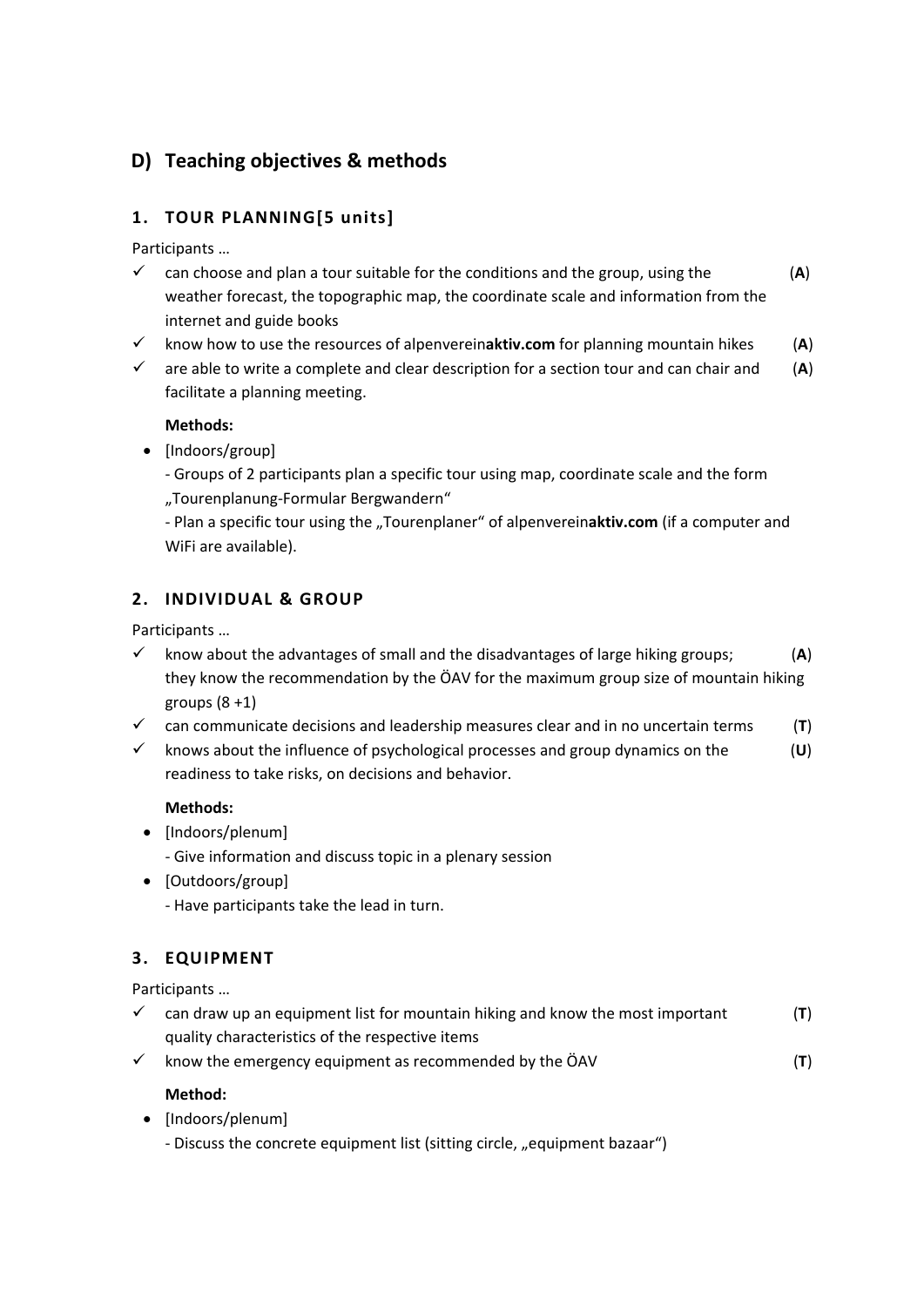# <span id="page-5-0"></span>**D) Teaching objectives & methods**

# <span id="page-5-1"></span>**1. TOUR PLANNING[5 units]**

Participants …

- $\checkmark$  can choose and plan a tour suitable for the conditions and the group, using the  $(A)$ weather forecast, the topographic map, the coordinate scale and information from the internet and guide books
- $\checkmark$  know how to use the resources of alpenverein**aktiv.com** for planning mountain hikes (A)
- $\checkmark$  are able to write a complete and clear description for a section tour and can chair and (A) facilitate a planning meeting.

#### **Methods:**

- [Indoors/group]
	- Groups of 2 participants plan a specific tour using map, coordinate scale and the form "Tourenplanung-Formular Bergwandern"
	- Plan a specific tour using the "Tourenplaner" of alpenvereinaktiv.com (if a computer and WiFi are available).

## <span id="page-5-2"></span>**2. INDIVIDUAL & GROUP**

Participants …

- $\checkmark$  know about the advantages of small and the disadvantages of large hiking groups;  $(A)$ they know the recommendation by the ÖAV for the maximum group size of mountain hiking groups  $(8 + 1)$
- $\checkmark$  can communicate decisions and leadership measures clear and in no uncertain terms (**T**)
- knows about the influence of psychological processes and group dynamics on the (**U**) readiness to take risks, on decisions and behavior.

#### **Methods:**

- [Indoors/plenum]
	- Give information and discuss topic in a plenary session
- [Outdoors/group]
	- Have participants take the lead in turn.

## <span id="page-5-3"></span>**3. EQUIPMENT**

Participants …

- $\checkmark$  can draw up an equipment list for mountain hiking and know the most important (**T**) quality characteristics of the respective items
- $\checkmark$  know the emergency equipment as recommended by the ÖAV  $(1)$

#### **Method:**

- [Indoors/plenum]
	- Discuss the concrete equipment list (sitting circle, "equipment bazaar")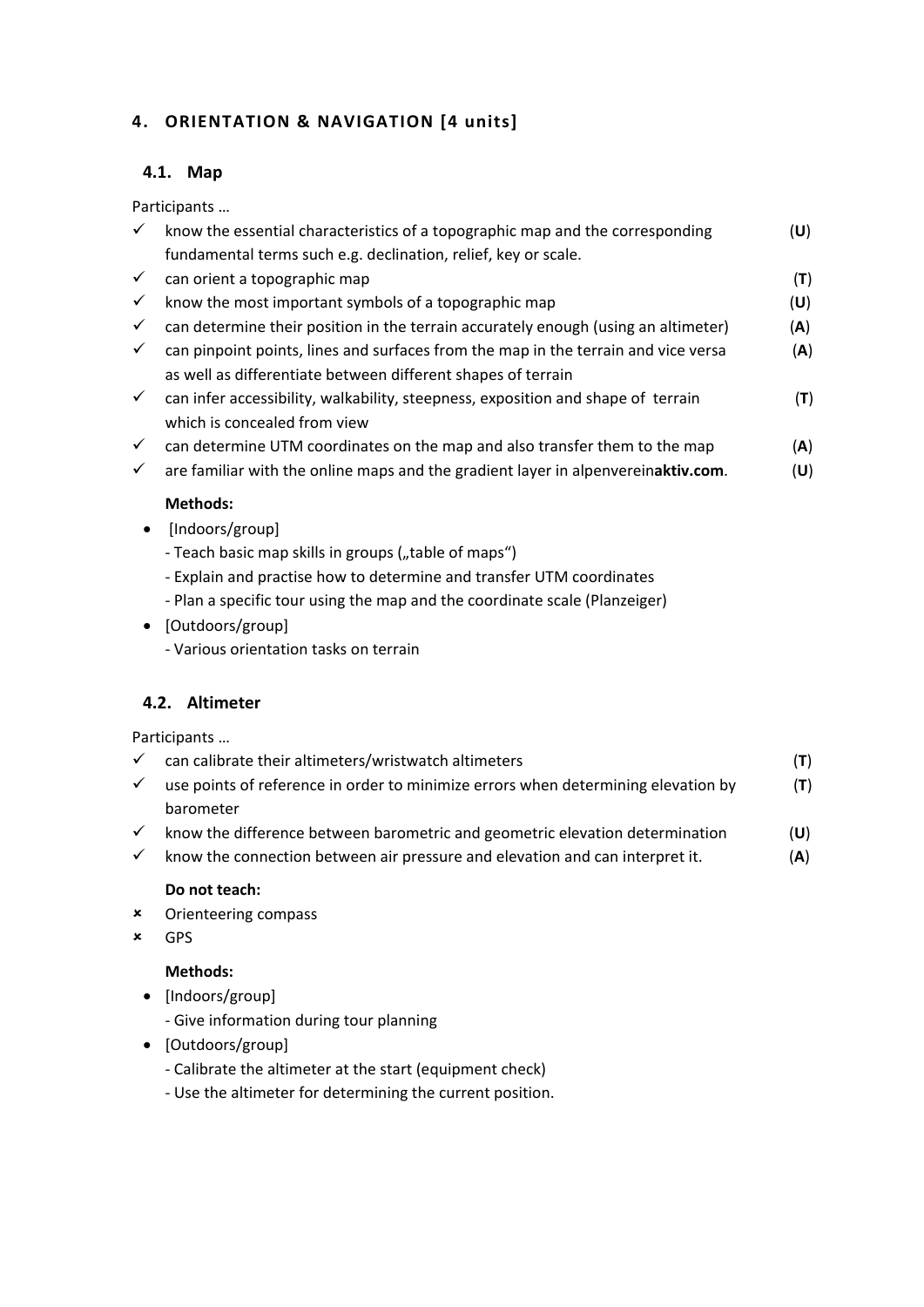## <span id="page-6-1"></span><span id="page-6-0"></span>**4. ORIENTATION & NAVIGATION [4 units]**

#### **4.1. Map**

Participants …

| $\checkmark$ | know the essential characteristics of a topographic map and the corresponding      | (U) |
|--------------|------------------------------------------------------------------------------------|-----|
|              | fundamental terms such e.g. declination, relief, key or scale.                     |     |
| $\checkmark$ | can orient a topographic map                                                       | (T) |
| $\checkmark$ | know the most important symbols of a topographic map                               | (U) |
|              | can determine their position in the terrain accurately enough (using an altimeter) | (A) |
| $\checkmark$ | can pinpoint points, lines and surfaces from the map in the terrain and vice versa | (A) |
|              | as well as differentiate between different shapes of terrain                       |     |
| $\checkmark$ | can infer accessibility, walkability, steepness, exposition and shape of terrain   | (T) |
|              | which is concealed from view                                                       |     |
| $\checkmark$ | can determine UTM coordinates on the map and also transfer them to the map         | (A) |
| $\checkmark$ | are familiar with the online maps and the gradient layer in alpenvereinaktiv.com.  | (U) |
|              |                                                                                    |     |

#### **Methods:**

- [Indoors/group]
	- Teach basic map skills in groups ("table of maps")
	- Explain and practise how to determine and transfer UTM coordinates
	- Plan a specific tour using the map and the coordinate scale (Planzeiger)
- [Outdoors/group]
	- Various orientation tasks on terrain

#### <span id="page-6-2"></span>**4.2. Altimeter**

Participants …

| can calibrate their altimeters/wristwatch altimeters                              |     |
|-----------------------------------------------------------------------------------|-----|
| use points of reference in order to minimize errors when determining elevation by | (T) |
| barometer                                                                         |     |

- $\checkmark$  know the difference between barometric and geometric elevation determination  $(U)$
- $\checkmark$  know the connection between air pressure and elevation and can interpret it.  $(A)$

#### **Do not teach:**

- Orienteering compass
- GPS

#### **Methods:**

- [Indoors/group]
	- Give information during tour planning
- [Outdoors/group]
	- Calibrate the altimeter at the start (equipment check)
	- Use the altimeter for determining the current position.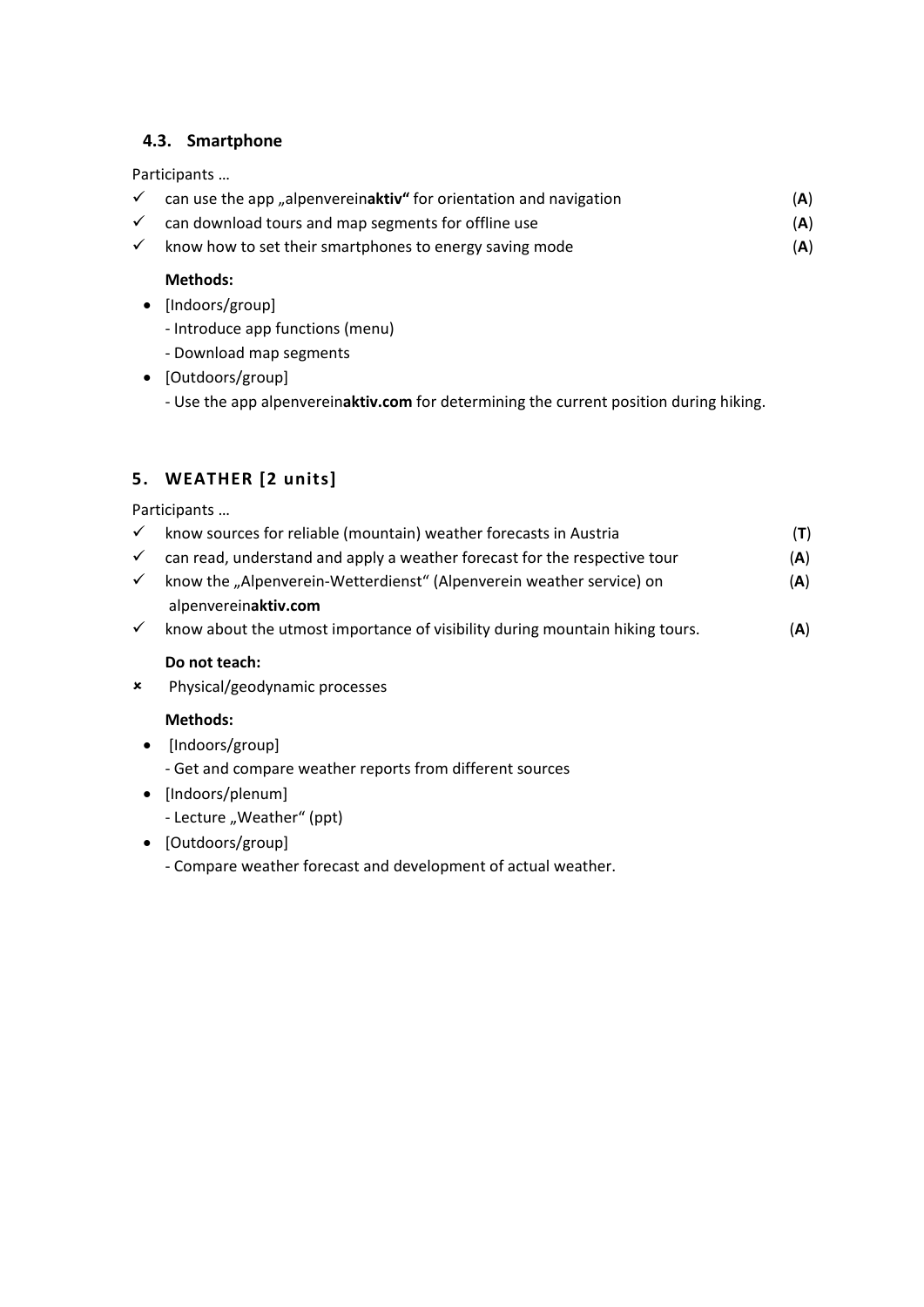#### <span id="page-7-0"></span>**4.3. Smartphone**

#### Participants …

|  | $\checkmark$ can use the app "alpenvereinaktiv" for orientation and navigation | (A) |
|--|--------------------------------------------------------------------------------|-----|
|--|--------------------------------------------------------------------------------|-----|

- $\checkmark$  can download tours and map segments for offline use  $(A)$
- $\checkmark$  know how to set their smartphones to energy saving mode  $(A)$

#### **Methods:**

- [Indoors/group]
	- Introduce app functions (menu)
	- Download map segments
- [Outdoors/group]
	- Use the app alpenverein**aktiv.com** for determining the current position during hiking.

# <span id="page-7-1"></span>**5. WEATHER [2 units]**

Participants …

| $\checkmark$ | know sources for reliable (mountain) weather forecasts in Austria                            | (T) |
|--------------|----------------------------------------------------------------------------------------------|-----|
| $\checkmark$ | can read, understand and apply a weather forecast for the respective tour                    | (A) |
| $\checkmark$ | know the "Alpenverein-Wetterdienst" (Alpenverein weather service) on<br>alpenvereinaktiv.com | (A) |
| $\checkmark$ | know about the utmost importance of visibility during mountain hiking tours.                 | (A) |

#### **Do not teach:**

Physical/geodynamic processes

#### **Methods:**

- [Indoors/group]
	- Get and compare weather reports from different sources
- [Indoors/plenum]
	- Lecture "Weather" (ppt)
- [Outdoors/group]
	- Compare weather forecast and development of actual weather.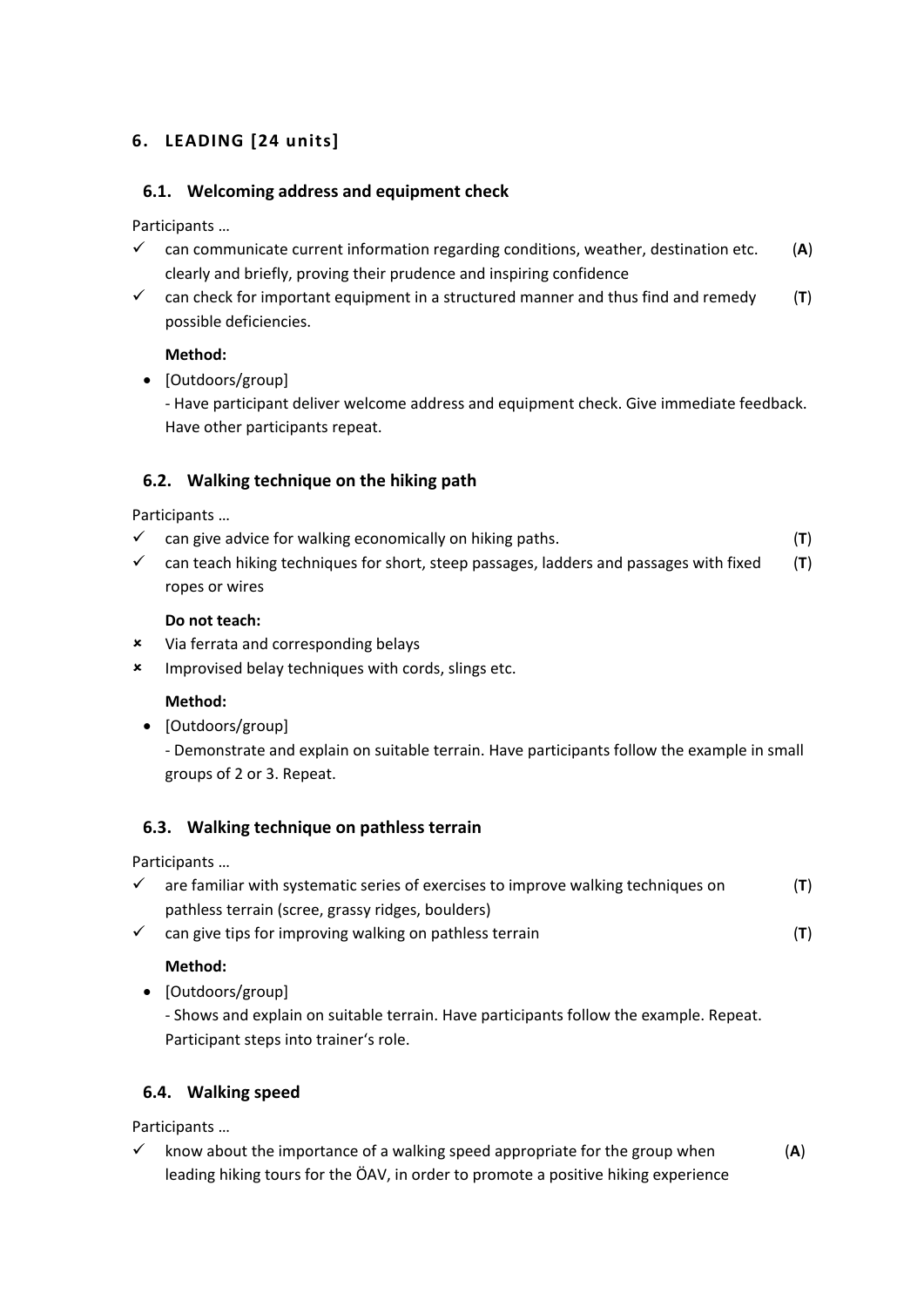# <span id="page-8-1"></span><span id="page-8-0"></span>**6. LEADING [24 units]**

#### **6.1. Welcoming address and equipment check**

Participants …

- $\checkmark$  can communicate current information regarding conditions, weather, destination etc. (A) clearly and briefly, proving their prudence and inspiring confidence
- $\checkmark$  can check for important equipment in a structured manner and thus find and remedy  $(\mathsf{T})$ possible deficiencies.

#### **Method:**

• [Outdoors/group]

- Have participant deliver welcome address and equipment check. Give immediate feedback. Have other participants repeat.

#### <span id="page-8-2"></span>**6.2. Walking technique on the hiking path**

Participants …

- $\checkmark$  can give advice for walking economically on hiking paths. (**T**)
- can teach hiking techniques for short, steep passages, ladders and passages with fixed (**T**) ropes or wires

#### **Do not teach:**

- Via ferrata and corresponding belays
- **\*** Improvised belay techniques with cords, slings etc.

#### **Method:**

• [Outdoors/group]

- Demonstrate and explain on suitable terrain. Have participants follow the example in small groups of 2 or 3. Repeat.

#### <span id="page-8-3"></span>**6.3. Walking technique on pathless terrain**

Participants …

- $\checkmark$  are familiar with systematic series of exercises to improve walking techniques on  $(T)$ pathless terrain (scree, grassy ridges, boulders)
- $\checkmark$  can give tips for improving walking on pathless terrain (**T**)

#### **Method:**

• [Outdoors/group]

- Shows and explain on suitable terrain. Have participants follow the example. Repeat. Participant steps into trainer's role.

#### <span id="page-8-4"></span>**6.4. Walking speed**

Participants …

 $\checkmark$  know about the importance of a walking speed appropriate for the group when  $(A)$ leading hiking tours for the ÖAV, in order to promote a positive hiking experience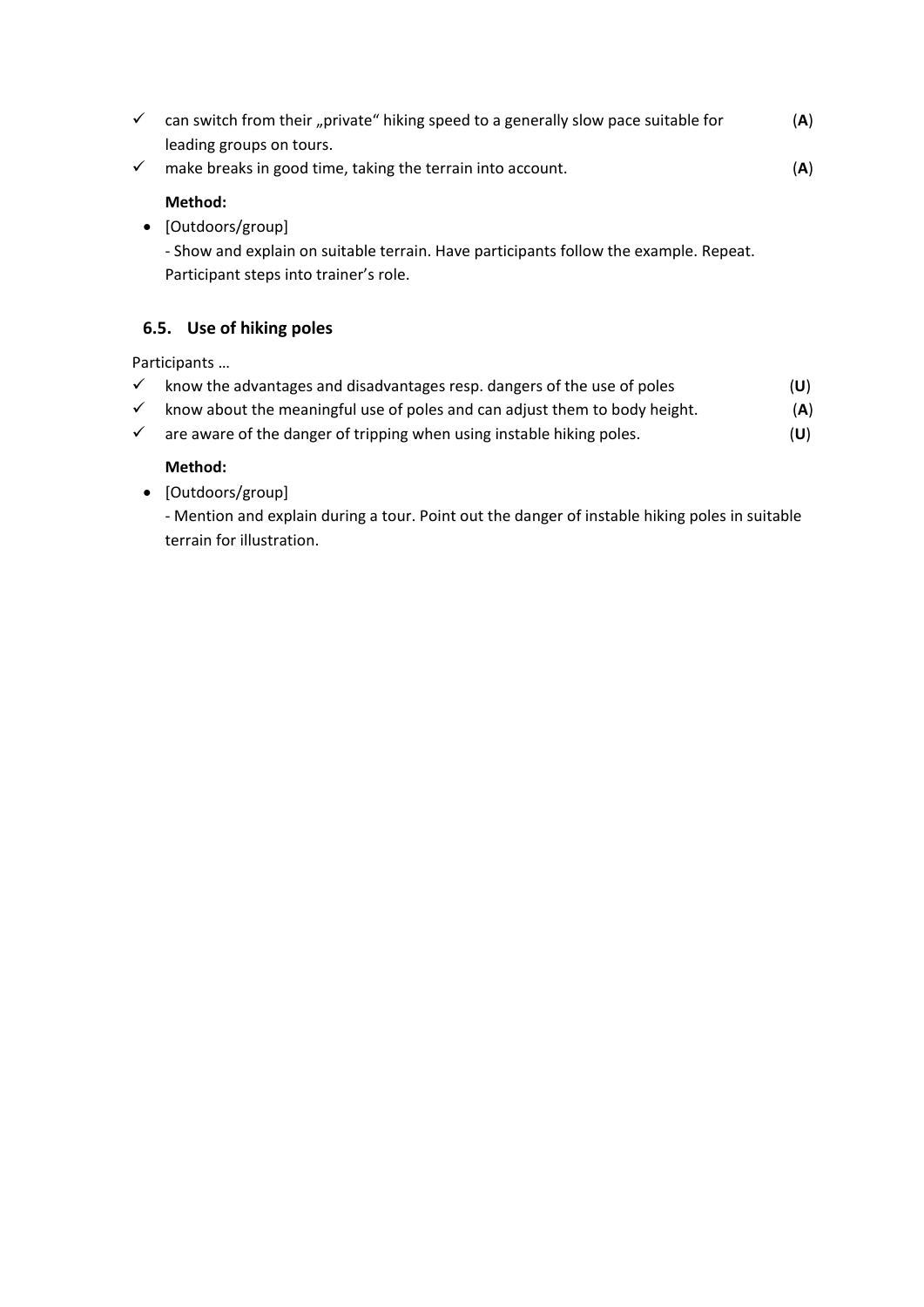| can switch from their "private" hiking speed to a generally slow pace suitable for<br>$\checkmark$ |                                                                                                                                                                | (A) |  |
|----------------------------------------------------------------------------------------------------|----------------------------------------------------------------------------------------------------------------------------------------------------------------|-----|--|
| $\checkmark$                                                                                       | leading groups on tours.<br>make breaks in good time, taking the terrain into account.                                                                         | (A) |  |
| $\bullet$                                                                                          | Method:<br>[Outdoors/group]<br>- Show and explain on suitable terrain. Have participants follow the example. Repeat.<br>Participant steps into trainer's role. |     |  |
|                                                                                                    | 6.5. Use of hiking poles                                                                                                                                       |     |  |
|                                                                                                    | Participants                                                                                                                                                   |     |  |

- <span id="page-9-0"></span> $\checkmark$  know the advantages and disadvantages resp. dangers of the use of poles  $(U)$  $\checkmark$  know about the meaningful use of poles and can adjust them to body height.  $(A)$
- $\checkmark$  are aware of the danger of tripping when using instable hiking poles.  $(U)$

#### **Method:**

• [Outdoors/group]

- Mention and explain during a tour. Point out the danger of instable hiking poles in suitable terrain for illustration.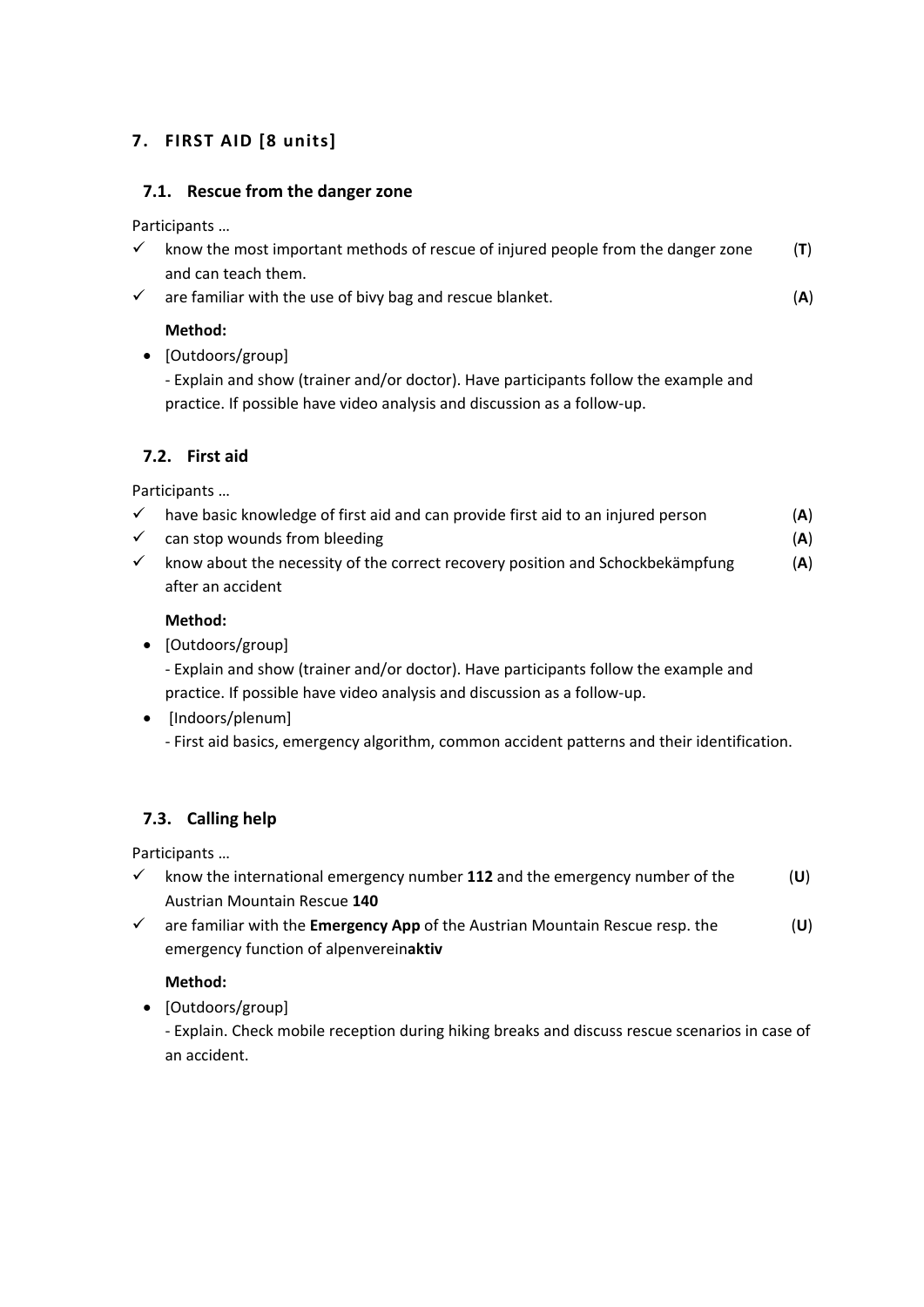# <span id="page-10-0"></span>**7. FIRST AID [8 units]**

#### <span id="page-10-1"></span>**7.1. Rescue from the danger zone**

Participants …

| know the most important methods of rescue of injured people from the danger zone |  |
|----------------------------------------------------------------------------------|--|
| and can teach them.                                                              |  |

 $\checkmark$  are familiar with the use of bivy bag and rescue blanket. (A)

#### **Method:**

• [Outdoors/group]

- Explain and show (trainer and/or doctor). Have participants follow the example and practice. If possible have video analysis and discussion as a follow-up.

#### <span id="page-10-2"></span>**7.2. First aid**

Participants …

- $\checkmark$  have basic knowledge of first aid and can provide first aid to an injured person  $(A)$
- $\checkmark$  can stop wounds from bleeding  $(A)$
- $\checkmark$  know about the necessity of the correct recovery position and Schockbekämpfung (A) after an accident

#### **Method:**

• [Outdoors/group]

- Explain and show (trainer and/or doctor). Have participants follow the example and practice. If possible have video analysis and discussion as a follow-up.

• [Indoors/plenum]

- First aid basics, emergency algorithm, common accident patterns and their identification.

## <span id="page-10-3"></span>**7.3. Calling help**

Participants …

- $\checkmark$  know the international emergency number **112** and the emergency number of the  $(U)$ Austrian Mountain Rescue **140**
- are familiar with the **Emergency App** of the Austrian Mountain Rescue resp. the (**U**) emergency function of alpenverein**aktiv**

#### **Method:**

• [Outdoors/group]

- Explain. Check mobile reception during hiking breaks and discuss rescue scenarios in case of an accident.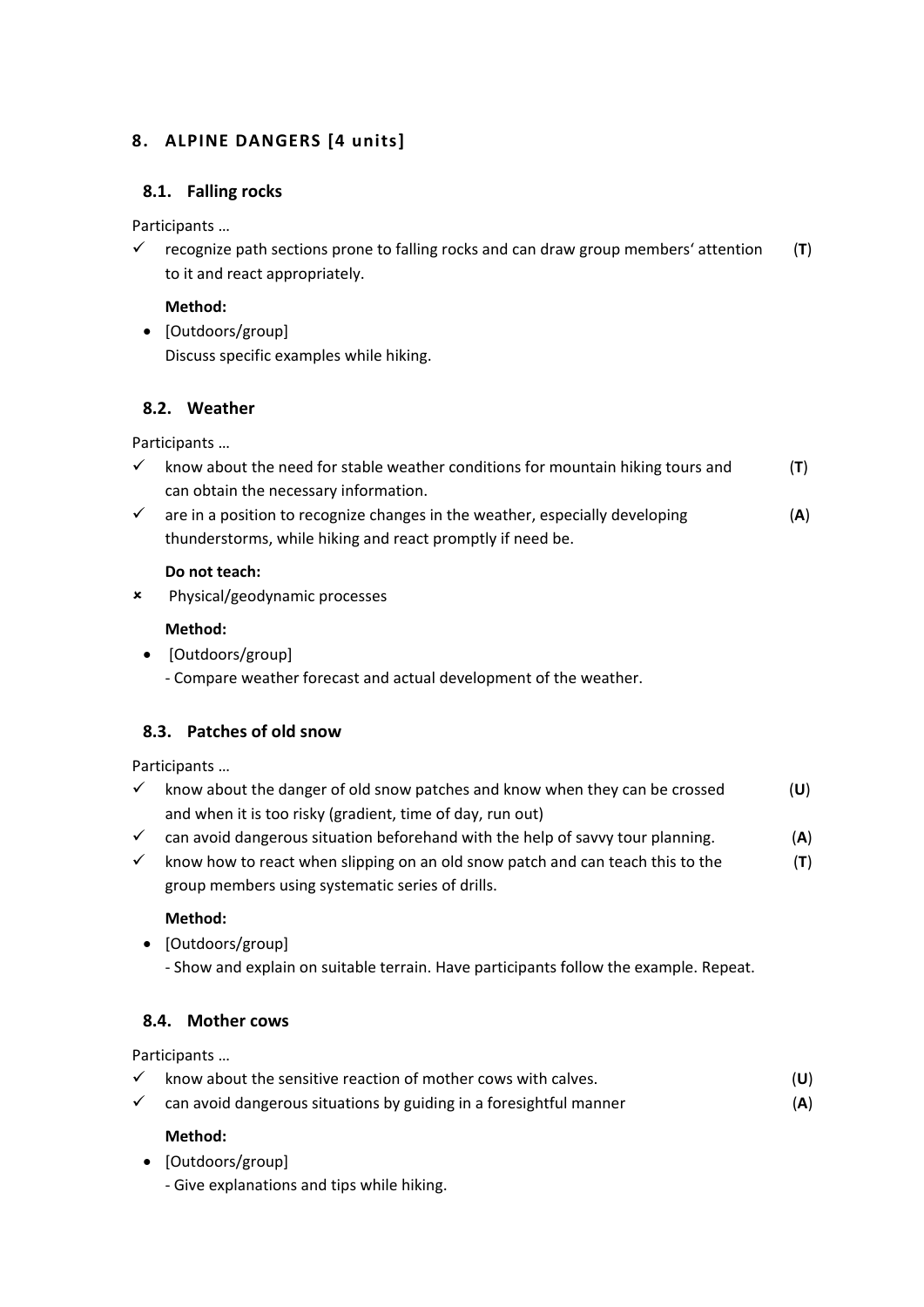### <span id="page-11-1"></span><span id="page-11-0"></span>**8. ALPINE DANGERS [4 units]**

#### **8.1. Falling rocks**

Participants …

 $\checkmark$  recognize path sections prone to falling rocks and can draw group members' attention (T) to it and react appropriately.

#### **Method:**

• [Outdoors/group] Discuss specific examples while hiking.

#### <span id="page-11-2"></span>**8.2. Weather**

Participants …

- $\checkmark$  know about the need for stable weather conditions for mountain hiking tours and  $(\mathbf{T})$ can obtain the necessary information.
- are in a position to recognize changes in the weather, especially developing (**A**) thunderstorms, while hiking and react promptly if need be.

#### **Do not teach:**

Physical/geodynamic processes

#### **Method:**

• [Outdoors/group] - Compare weather forecast and actual development of the weather.

#### <span id="page-11-3"></span>**8.3. Patches of old snow**

Participants …

- $\checkmark$  know about the danger of old snow patches and know when they can be crossed  $(\check{U})$ and when it is too risky (gradient, time of day, run out)
- $\checkmark$  can avoid dangerous situation beforehand with the help of savvy tour planning.  $(A)$
- $\checkmark$  know how to react when slipping on an old snow patch and can teach this to the  $(\mathbf{T})$ group members using systematic series of drills.

#### **Method:**

- [Outdoors/group]
	- Show and explain on suitable terrain. Have participants follow the example. Repeat.

#### <span id="page-11-4"></span>**8.4. Mother cows**

Participants …

- $\checkmark$  know about the sensitive reaction of mother cows with calves.  $(0)$
- $\checkmark$  can avoid dangerous situations by guiding in a foresightful manner (**A**)

#### **Method:**

- [Outdoors/group]
	- Give explanations and tips while hiking.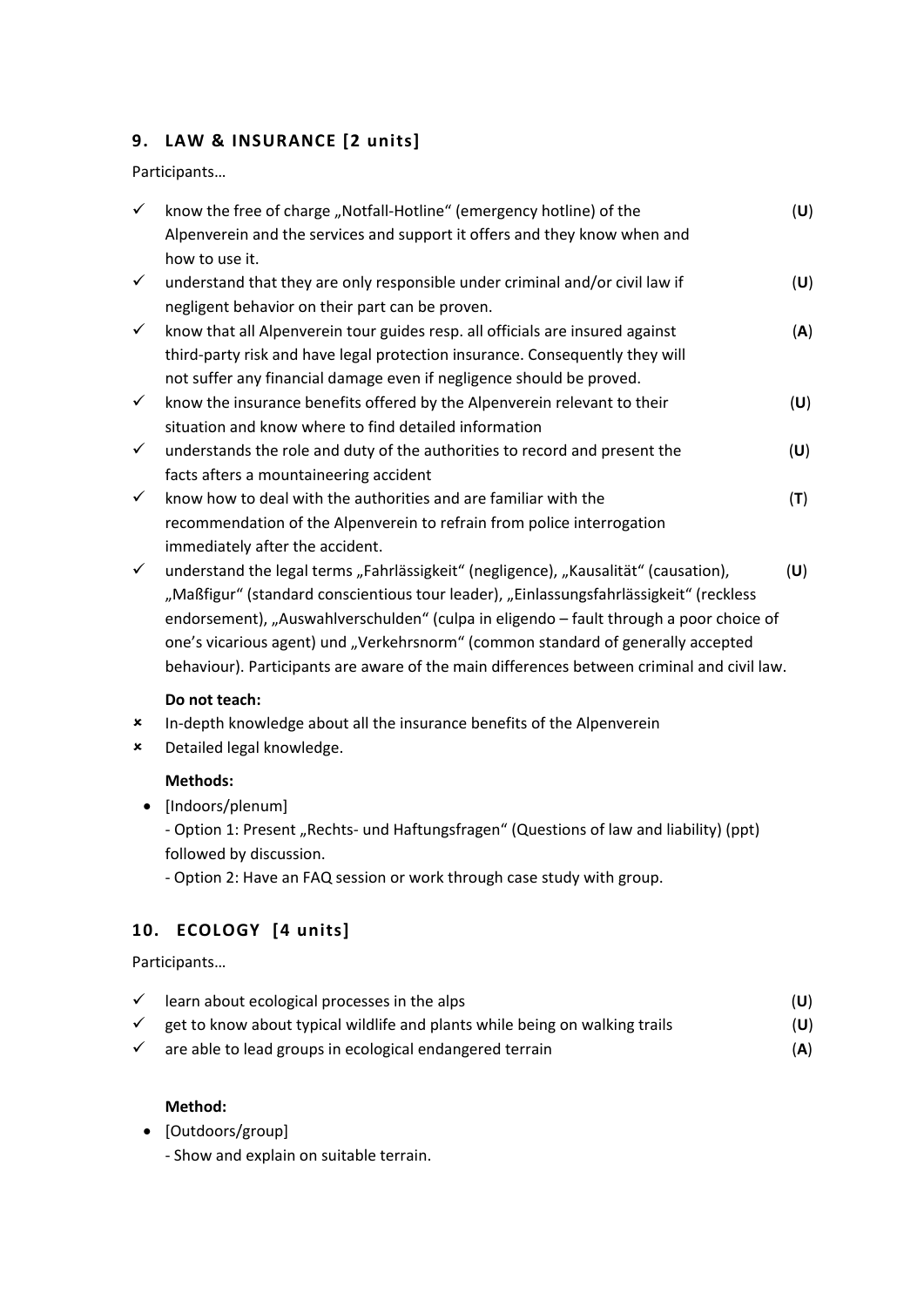## <span id="page-12-0"></span>**9. LAW & INSURANCE [2 units]**

Participants…

| $\checkmark$ | know the free of charge "Notfall-Hotline" (emergency hotline) of the                       | (U) |
|--------------|--------------------------------------------------------------------------------------------|-----|
|              | Alpenverein and the services and support it offers and they know when and                  |     |
|              | how to use it.                                                                             |     |
| $\checkmark$ | understand that they are only responsible under criminal and/or civil law if               | (U) |
|              | negligent behavior on their part can be proven.                                            |     |
| $\checkmark$ | know that all Alpenverein tour guides resp. all officials are insured against              | (A) |
|              | third-party risk and have legal protection insurance. Consequently they will               |     |
|              | not suffer any financial damage even if negligence should be proved.                       |     |
| $\checkmark$ | know the insurance benefits offered by the Alpenverein relevant to their                   | (U) |
|              | situation and know where to find detailed information                                      |     |
| $\checkmark$ | understands the role and duty of the authorities to record and present the                 | (U) |
|              | facts afters a mountaineering accident                                                     |     |
| $\checkmark$ | know how to deal with the authorities and are familiar with the                            | (T) |
|              | recommendation of the Alpenverein to refrain from police interrogation                     |     |
|              | immediately after the accident.                                                            |     |
| $\checkmark$ | understand the legal terms "Fahrlässigkeit" (negligence), "Kausalität" (causation),        | (U) |
|              | "Maßfigur" (standard conscientious tour leader), "Einlassungsfahrlässigkeit" (reckless     |     |
|              | endorsement), "Auswahlverschulden" (culpa in eligendo - fault through a poor choice of     |     |
|              | one's vicarious agent) und "Verkehrsnorm" (common standard of generally accepted           |     |
|              | behaviour). Participants are aware of the main differences between criminal and civil law. |     |

#### **Do not teach:**

- In-depth knowledge about all the insurance benefits of the Alpenverein
- Detailed legal knowledge.

#### **Methods:**

• [Indoors/plenum]

- Option 1: Present "Rechts- und Haftungsfragen" (Questions of law and liability) (ppt) followed by discussion.

<span id="page-12-1"></span>- Option 2: Have an FAQ session or work through case study with group.

# **10. ECOLOGY [4 units]**

Participants…

| learn about ecological processes in the alps                                | (U) |
|-----------------------------------------------------------------------------|-----|
| get to know about typical wildlife and plants while being on walking trails | (U) |

 $\checkmark$  are able to lead groups in ecological endangered terrain  $(A)$ 

#### **Method:**

- [Outdoors/group]
	- Show and explain on suitable terrain.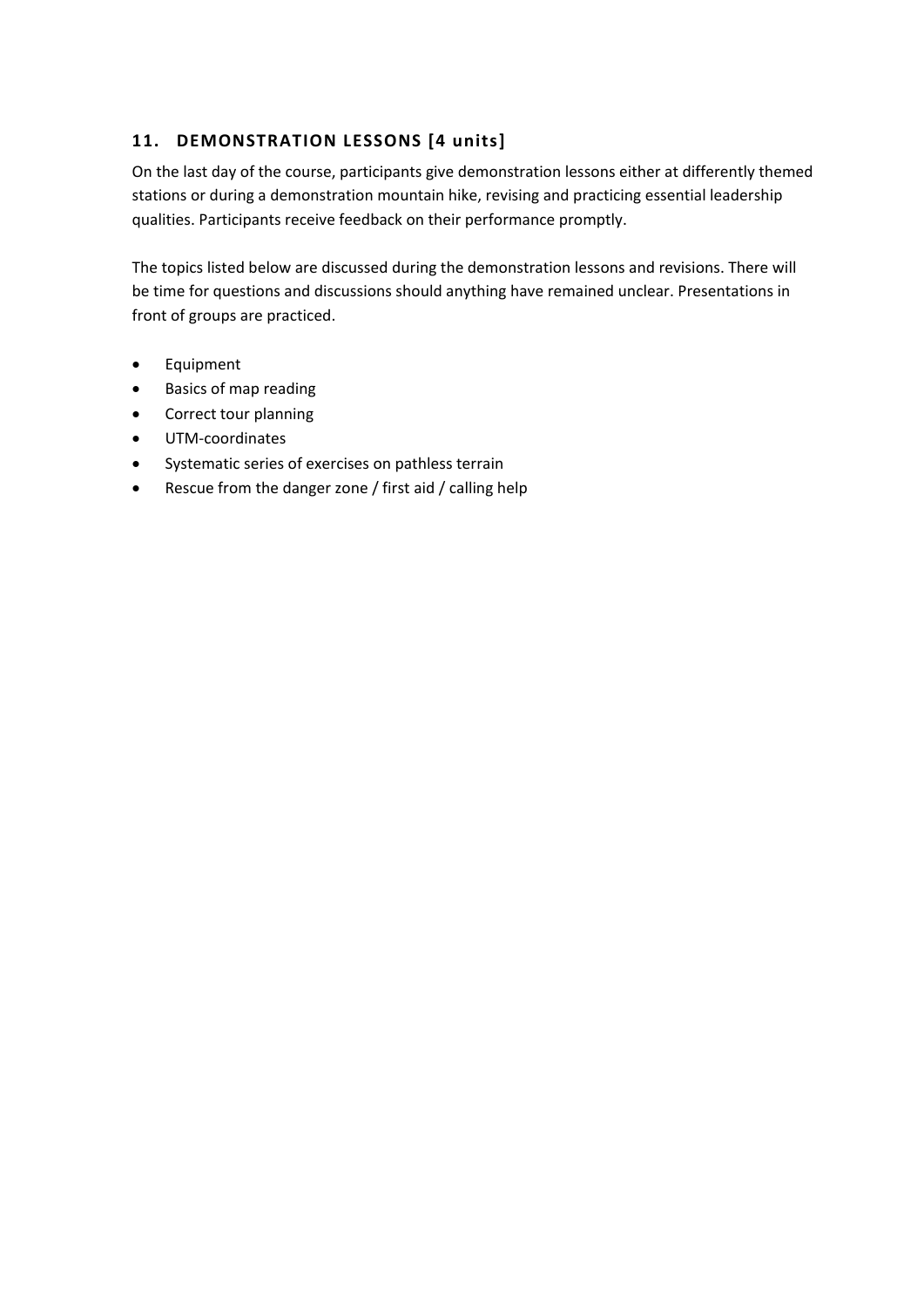### <span id="page-13-0"></span>**11. DEMONSTRATION LESSONS [4 units]**

On the last day of the course, participants give demonstration lessons either at differently themed stations or during a demonstration mountain hike, revising and practicing essential leadership qualities. Participants receive feedback on their performance promptly.

The topics listed below are discussed during the demonstration lessons and revisions. There will be time for questions and discussions should anything have remained unclear. Presentations in front of groups are practiced.

- Equipment
- Basics of map reading
- Correct tour planning
- UTM-coordinates
- Systematic series of exercises on pathless terrain
- Rescue from the danger zone / first aid / calling help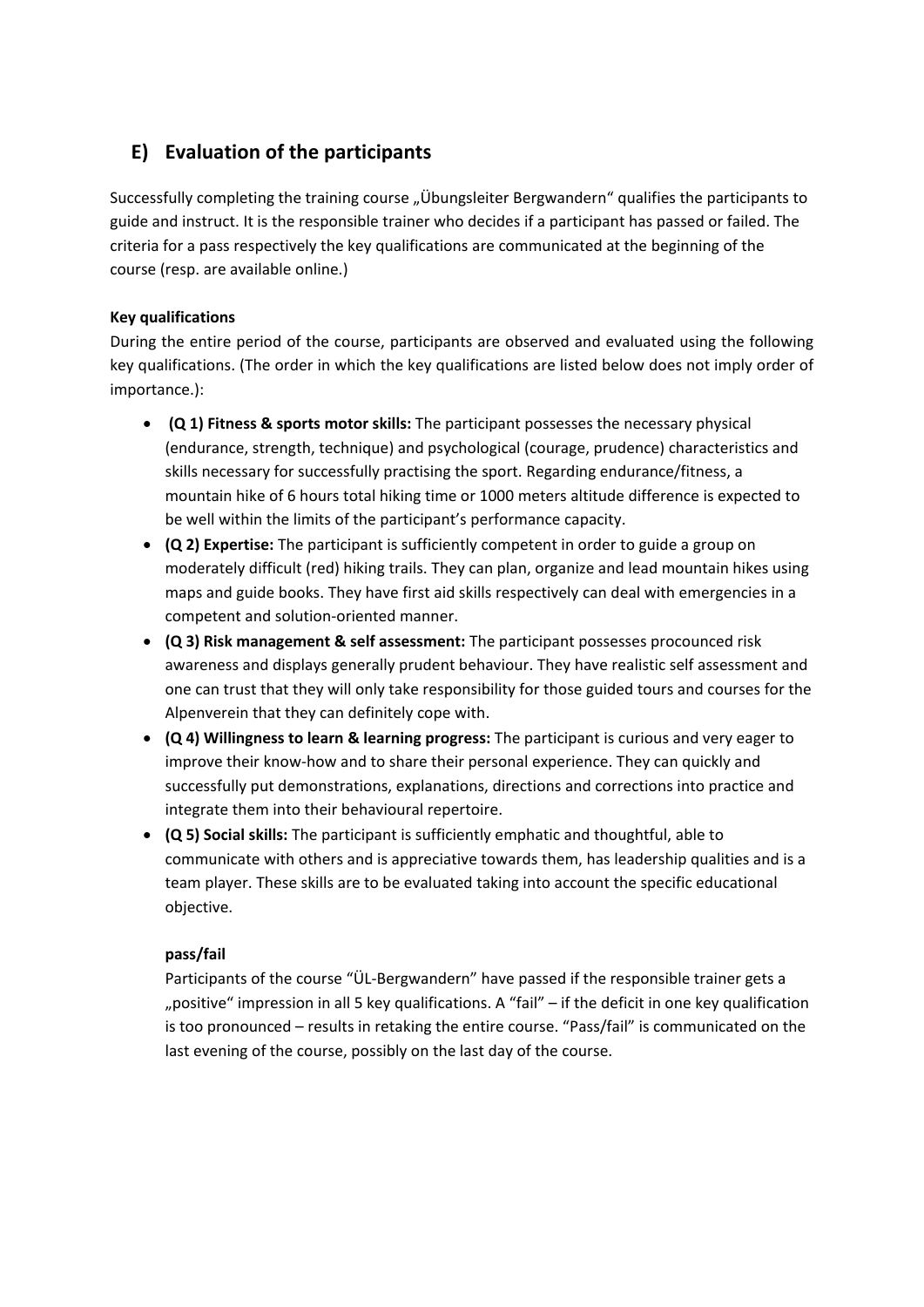# <span id="page-14-0"></span>**E) Evaluation of the participants**

Successfully completing the training course "Übungsleiter Bergwandern" qualifies the participants to guide and instruct. It is the responsible trainer who decides if a participant has passed or failed. The criteria for a pass respectively the key qualifications are communicated at the beginning of the course (resp. are available online.)

#### **Key qualifications**

During the entire period of the course, participants are observed and evaluated using the following key qualifications. (The order in which the key qualifications are listed below does not imply order of importance.):

- **(Q 1) Fitness & sports motor skills:** The participant possesses the necessary physical (endurance, strength, technique) and psychological (courage, prudence) characteristics and skills necessary for successfully practising the sport. Regarding endurance/fitness, a mountain hike of 6 hours total hiking time or 1000 meters altitude difference is expected to be well within the limits of the participant's performance capacity.
- **(Q 2) Expertise:** The participant is sufficiently competent in order to guide a group on moderately difficult (red) hiking trails. They can plan, organize and lead mountain hikes using maps and guide books. They have first aid skills respectively can deal with emergencies in a competent and solution-oriented manner.
- **(Q 3) Risk management & self assessment:** The participant possesses procounced risk awareness and displays generally prudent behaviour. They have realistic self assessment and one can trust that they will only take responsibility for those guided tours and courses for the Alpenverein that they can definitely cope with.
- **(Q 4) Willingness to learn & learning progress:** The participant is curious and very eager to improve their know-how and to share their personal experience. They can quickly and successfully put demonstrations, explanations, directions and corrections into practice and integrate them into their behavioural repertoire.
- **(Q 5) Social skills:** The participant is sufficiently emphatic and thoughtful, able to communicate with others and is appreciative towards them, has leadership qualities and is a team player. These skills are to be evaluated taking into account the specific educational objective.

#### **pass/fail**

Participants of the course "ÜL-Bergwandern" have passed if the responsible trainer gets a "positive" impression in all 5 key qualifications. A "fail" – if the deficit in one key qualification is too pronounced – results in retaking the entire course. "Pass/fail" is communicated on the last evening of the course, possibly on the last day of the course.